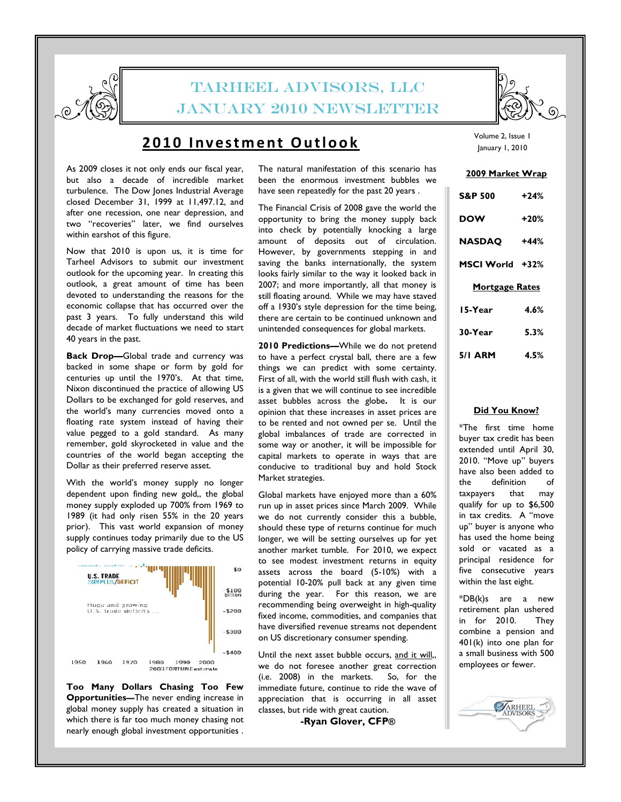

# TARHEEL ADVISORS, LLC JANUARY 2010 NEWSLETTER

### 2010 Investment Outlook

As 2009 closes it not only ends our fiscal year, but also a decade of incredible market turbulence. The Dow Jones Industrial Average closed December 31, 1999 at 11,497.12, and after one recession, one near depression, and two "recoveries" later, we find ourselves within earshot of this figure.

Now that 2010 is upon us, it is time for Tarheel Advisors to submit our investment outlook for the upcoming year. In creating this outlook, a great amount of time has been devoted to understanding the reasons for the economic collapse that has occurred over the past 3 years. To fully understand this wild decade of market fluctuations we need to start 40 years in the past.

Back Drop—Global trade and currency was backed in some shape or form by gold for centuries up until the 1970's. At that time, Nixon discontinued the practice of allowing US Dollars to be exchanged for gold reserves, and the world's many currencies moved onto a floating rate system instead of having their value pegged to a gold standard. As many remember, gold skyrocketed in value and the countries of the world began accepting the Dollar as their preferred reserve asset.

With the world's money supply no longer dependent upon finding new gold,, the global money supply exploded up 700% from 1969 to 1989 (it had only risen 55% in the 20 years prior). This vast world expansion of money supply continues today primarily due to the US policy of carrying massive trade deficits.



Too Many Dollars Chasing Too Few Opportunities—The never ending increase in global money supply has created a situation in which there is far too much money chasing not nearly enough global investment opportunities .

The natural manifestation of this scenario has been the enormous investment bubbles we have seen repeatedly for the past 20 years .

The Financial Crisis of 2008 gave the world the opportunity to bring the money supply back into check by potentially knocking a large amount of deposits out of circulation. However, by governments stepping in and saving the banks internationally, the system looks fairly similar to the way it looked back in 2007; and more importantly, all that money is still floating around. While we may have staved off a 1930's style depression for the time being, there are certain to be continued unknown and unintended consequences for global markets.

2010 Predictions—While we do not pretend to have a perfect crystal ball, there are a few things we can predict with some certainty. First of all, with the world still flush with cash, it is a given that we will continue to see incredible asset bubbles across the globe. It is our opinion that these increases in asset prices are to be rented and not owned per se. Until the global imbalances of trade are corrected in some way or another, it will be impossible for capital markets to operate in ways that are conducive to traditional buy and hold Stock Market strategies.

Global markets have enjoyed more than a 60% run up in asset prices since March 2009. While we do not currently consider this a bubble, should these type of returns continue for much longer, we will be setting ourselves up for yet another market tumble. For 2010, we expect to see modest investment returns in equity assets across the board (5-10%) with a potential 10-20% pull back at any given time during the year. For this reason, we are recommending being overweight in high-quality fixed income, commodities, and companies that have diversified revenue streams not dependent on US discretionary consumer spending.

Until the next asset bubble occurs, and it will,, we do not foresee another great correction (i.e. 2008) in the markets. So, for the immediate future, continue to ride the wave of appreciation that is occurring in all asset classes, but ride with great caution.

-Ryan Glover, CFP®



#### 2009 Market Wrap

| <b>S&amp;P 500</b>    | +24%   |
|-----------------------|--------|
| <b>DOW</b>            | $+20%$ |
| <b>NASDAQ</b>         | +44%   |
| MSCI World +32%       |        |
| <b>Mortgage Rates</b> |        |
|                       |        |
| 15-Year               | 4.6%   |
| 30-Year               | 5.3%   |

#### Did You Know?

\*The first time home buyer tax credit has been extended until April 30, 2010. "Move up" buyers have also been added to the definition taxpayers that may qualify for up to \$6,500 in tax credits. A "move up" buyer is anyone who has used the home being sold or vacated as a principal residence for five consecutive years within the last eight.

\*DB(k)s are a new retirement plan ushered in for 2010. They combine a pension and 401(k) into one plan for a small business with 500 employees or fewer.